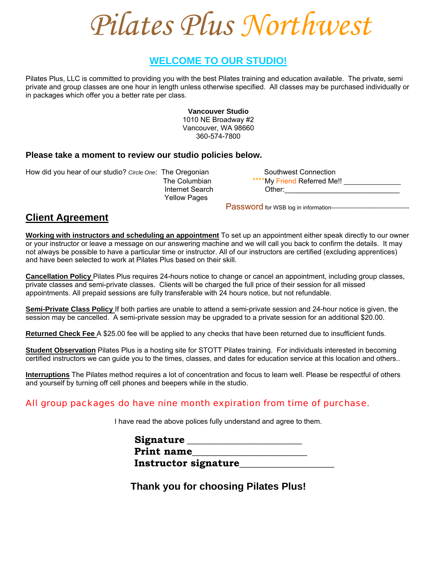*Pilates Plus Northwest*

# **WELCOME TO OUR STUDIO!**

Pilates Plus, LLC is committed to providing you with the best Pilates training and education available. The private, semi private and group classes are one hour in length unless otherwise specified. All classes may be purchased individually or in packages which offer you a better rate per class.

> **Vancouver Studio**  1010 NE Broadway #2 Vancouver, WA 98660 360-574-7800

#### **Please take a moment to review our studio policies below.**

How did you hear of our studio? *Circle One*: The Oregonian Southwest Connection

Yellow Pages

 The Columbian \*\*\*\*My Friend Referred Me!! \_\_\_\_\_\_\_\_\_\_\_\_\_\_\_\_ Internet Search **Other:** 

Password for WSB log in information-----------------------------------------

## **Client Agreement**

**Working with instructors and scheduling an appointment** To set up an appointment either speak directly to our owner or your instructor or leave a message on our answering machine and we will call you back to confirm the details. It may not always be possible to have a particular time or instructor. All of our instructors are certified (excluding apprentices) and have been selected to work at Pilates Plus based on their skill.

**Cancellation Policy** Pilates Plus requires 24-hours notice to change or cancel an appointment, including group classes, private classes and semi-private classes. Clients will be charged the full price of their session for all missed appointments. All prepaid sessions are fully transferable with 24 hours notice, but not refundable.

**Semi-Private Class Policy** If both parties are unable to attend a semi-private session and 24-hour notice is given, the session may be cancelled. A semi-private session may be upgraded to a private session for an additional \$20.00.

**Returned Check Fee** A \$25.00 fee will be applied to any checks that have been returned due to insufficient funds.

**Student Observation** Pilates Plus is a hosting site for STOTT Pilates training. For individuals interested in becoming certified instructors we can guide you to the times, classes, and dates for education service at this location and others..

**Interruptions** The Pilates method requires a lot of concentration and focus to learn well. Please be respectful of others and yourself by turning off cell phones and beepers while in the studio.

### All group packages do have nine month expiration from time of purchase.

I have read the above polices fully understand and agree to them.

| Signature         |                      |
|-------------------|----------------------|
| <b>Print name</b> |                      |
|                   | Instructor signature |

**Thank you for choosing Pilates Plus!**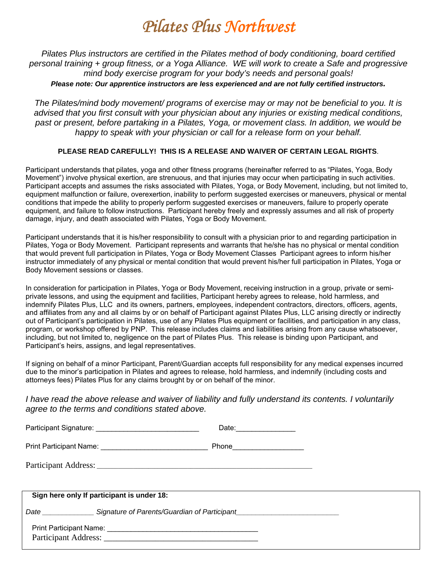# *Pilates Plus Northwest*

*Pilates Plus instructors are certified in the Pilates method of body conditioning, board certified personal training + group fitness, or a Yoga Alliance. WE will work to create a Safe and progressive mind body exercise program for your body's needs and personal goals! Please note: Our apprentice instructors are less experienced and are not fully certified instructors.* 

*The Pilates/mind body movement/ programs of exercise may or may not be beneficial to you. It is advised that you first consult with your physician about any injuries or existing medical conditions, past or present, before partaking in a Pilates, Yoga, or movement class. In addition, we would be happy to speak with your physician or call for a release form on your behalf.* 

#### **PLEASE READ CAREFULLY! THIS IS A RELEASE AND WAIVER OF CERTAIN LEGAL RIGHTS**.

Participant understands that pilates, yoga and other fitness programs (hereinafter referred to as "Pilates, Yoga, Body Movement") involve physical exertion, are strenuous, and that injuries may occur when participating in such activities. Participant accepts and assumes the risks associated with Pilates, Yoga, or Body Movement, including, but not limited to, equipment malfunction or failure, overexertion, inability to perform suggested exercises or maneuvers, physical or mental conditions that impede the ability to properly perform suggested exercises or maneuvers, failure to properly operate equipment, and failure to follow instructions. Participant hereby freely and expressly assumes and all risk of property damage, injury, and death associated with Pilates, Yoga or Body Movement.

Participant understands that it is his/her responsibility to consult with a physician prior to and regarding participation in Pilates, Yoga or Body Movement. Participant represents and warrants that he/she has no physical or mental condition that would prevent full participation in Pilates, Yoga or Body Movement Classes Participant agrees to inform his/her instructor immediately of any physical or mental condition that would prevent his/her full participation in Pilates, Yoga or Body Movement sessions or classes.

In consideration for participation in Pilates, Yoga or Body Movement, receiving instruction in a group, private or semiprivate lessons, and using the equipment and facilities, Participant hereby agrees to release, hold harmless, and indemnify Pilates Plus, LLC and its owners, partners, employees, independent contractors, directors, officers, agents, and affiliates from any and all claims by or on behalf of Participant against Pilates Plus, LLC arising directly or indirectly out of Participant's participation in Pilates, use of any Pilates Plus equipment or facilities, and participation in any class, program, or workshop offered by PNP. This release includes claims and liabilities arising from any cause whatsoever, including, but not limited to, negligence on the part of Pilates Plus. This release is binding upon Participant, and Participant's heirs, assigns, and legal representatives.

If signing on behalf of a minor Participant, Parent/Guardian accepts full responsibility for any medical expenses incurred due to the minor's participation in Pilates and agrees to release, hold harmless, and indemnify (including costs and attorneys fees) Pilates Plus for any claims brought by or on behalf of the minor.

#### *I have read the above release and waiver of liability and fully understand its contents. I voluntarily agree to the terms and conditions stated above.*

|                                                                                                      | Date: _________________      |
|------------------------------------------------------------------------------------------------------|------------------------------|
|                                                                                                      | Phone_______________________ |
|                                                                                                      |                              |
| Sign here only If participant is under 18:                                                           |                              |
| Date ___________________Signature of Parents/Guardian of Participant________________________________ |                              |
|                                                                                                      |                              |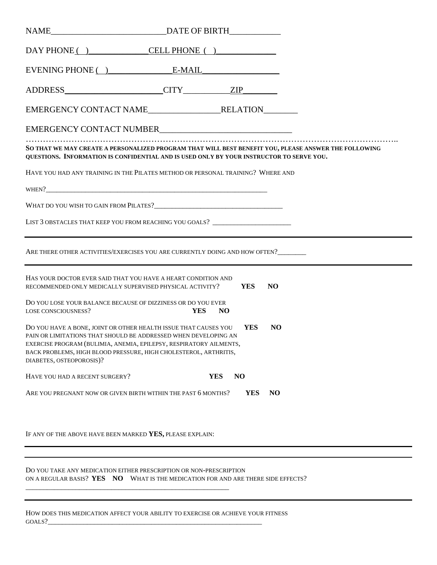| $E$ VENING PHONE $\qquad$ $E$ -MAIL                                                                                                                                                                                                                                                                          |            |                              |            |                |  |  |
|--------------------------------------------------------------------------------------------------------------------------------------------------------------------------------------------------------------------------------------------------------------------------------------------------------------|------------|------------------------------|------------|----------------|--|--|
|                                                                                                                                                                                                                                                                                                              |            |                              |            |                |  |  |
|                                                                                                                                                                                                                                                                                                              |            |                              |            |                |  |  |
|                                                                                                                                                                                                                                                                                                              |            |                              |            |                |  |  |
| SO THAT WE MAY CREATE A PERSONALIZED PROGRAM THAT WILL BEST BENEFIT YOU, PLEASE ANSWER THE FOLLOWING<br>QUESTIONS. INFORMATION IS CONFIDENTIAL AND IS USED ONLY BY YOUR INSTRUCTOR TO SERVE YOU.                                                                                                             |            |                              |            |                |  |  |
| HAVE YOU HAD ANY TRAINING IN THE PILATES METHOD OR PERSONAL TRAINING? WHERE AND                                                                                                                                                                                                                              |            |                              |            |                |  |  |
|                                                                                                                                                                                                                                                                                                              |            |                              |            |                |  |  |
|                                                                                                                                                                                                                                                                                                              |            |                              |            |                |  |  |
| LIST 3 OBSTACLES THAT KEEP YOU FROM REACHING YOU GOALS? ________________________                                                                                                                                                                                                                             |            |                              |            |                |  |  |
| ARE THERE OTHER ACTIVITIES/EXERCISES YOU ARE CURRENTLY DOING AND HOW OFTEN?                                                                                                                                                                                                                                  |            |                              |            |                |  |  |
| HAS YOUR DOCTOR EVER SAID THAT YOU HAVE A HEART CONDITION AND<br>RECOMMENDED ONLY MEDICALLY SUPERVISED PHYSICAL ACTIVITY?                                                                                                                                                                                    |            |                              | YES        | <b>NO</b>      |  |  |
| DO YOU LOSE YOUR BALANCE BECAUSE OF DIZZINESS OR DO YOU EVER<br>LOSE CONSCIOUSNESS?                                                                                                                                                                                                                          | <b>YES</b> | N <sub>O</sub>               |            |                |  |  |
| DO YOU HAVE A BONE, JOINT OR OTHER HEALTH ISSUE THAT CAUSES YOU VES<br>PAIN OR LIMITATIONS THAT SHOULD BE ADDRESSED WHEN DEVELOPING AN<br>EXERCISE PROGRAM (BULIMIA, ANEMIA, EPILEPSY, RESPIRATORY AILMENTS,<br>BACK PROBLEMS, HIGH BLOOD PRESSURE, HIGH CHOLESTEROL, ARTHRITIS,<br>DIABETES, OSTEOPOROSIS)? |            |                              |            | N <sub>O</sub> |  |  |
| HAVE YOU HAD A RECENT SURGERY?                                                                                                                                                                                                                                                                               |            | <b>YES</b><br>N <sub>O</sub> |            |                |  |  |
| ARE YOU PREGNANT NOW OR GIVEN BIRTH WITHIN THE PAST 6 MONTHS?                                                                                                                                                                                                                                                |            |                              | <b>YES</b> | N <sub>O</sub> |  |  |
|                                                                                                                                                                                                                                                                                                              |            |                              |            |                |  |  |
| IF ANY OF THE ABOVE HAVE BEEN MARKED YES, PLEASE EXPLAIN:                                                                                                                                                                                                                                                    |            |                              |            |                |  |  |

DO YOU TAKE ANY MEDICATION EITHER PRESCRIPTION OR NON-PRESCRIPTION ON A REGULAR BASIS? **YES NO** WHAT IS THE MEDICATION FOR AND ARE THERE SIDE EFFECTS?

HOW DOES THIS MEDICATION AFFECT YOUR ABILITY TO EXERCISE OR ACHIEVE YOUR FITNESS  $GOALS?$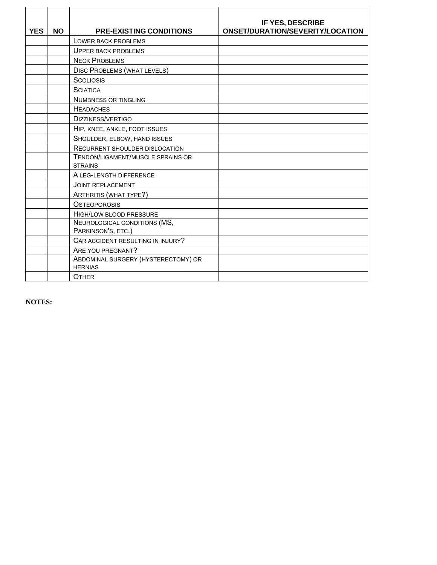| <b>YES</b> | <b>NO</b> | <b>PRE-EXISTING CONDITIONS</b>                        | IF YES, DESCRIBE<br><b>ONSET/DURATION/SEVERITY/LOCATION</b> |
|------------|-----------|-------------------------------------------------------|-------------------------------------------------------------|
|            |           | LOWER BACK PROBLEMS                                   |                                                             |
|            |           | <b>UPPER BACK PROBLEMS</b>                            |                                                             |
|            |           | <b>NECK PROBLEMS</b>                                  |                                                             |
|            |           | <b>DISC PROBLEMS (WHAT LEVELS)</b>                    |                                                             |
|            |           | <b>SCOLIOSIS</b>                                      |                                                             |
|            |           | <b>SCIATICA</b>                                       |                                                             |
|            |           | <b>NUMBNESS OR TINGLING</b>                           |                                                             |
|            |           | <b>HEADACHES</b>                                      |                                                             |
|            |           | DIZZINESS/VERTIGO                                     |                                                             |
|            |           | HIP, KNEE, ANKLE, FOOT ISSUES                         |                                                             |
|            |           | SHOULDER, ELBOW, HAND ISSUES                          |                                                             |
|            |           | <b>RECURRENT SHOULDER DISLOCATION</b>                 |                                                             |
|            |           | TENDON/LIGAMENT/MUSCLE SPRAINS OR<br><b>STRAINS</b>   |                                                             |
|            |           | A LEG-LENGTH DIFFERENCE                               |                                                             |
|            |           | <b>JOINT REPLACEMENT</b>                              |                                                             |
|            |           | <b>ARTHRITIS (WHAT TYPE?)</b>                         |                                                             |
|            |           | <b>OSTEOPOROSIS</b>                                   |                                                             |
|            |           | HIGH/LOW BLOOD PRESSURE                               |                                                             |
|            |           | NEUROLOGICAL CONDITIONS (MS,<br>PARKINSON'S, ETC.)    |                                                             |
|            |           | CAR ACCIDENT RESULTING IN INJURY?                     |                                                             |
|            |           | ARE YOU PREGNANT?                                     |                                                             |
|            |           | ABDOMINAL SURGERY (HYSTERECTOMY) OR<br><b>HERNIAS</b> |                                                             |
|            |           | <b>OTHER</b>                                          |                                                             |

**NOTES:**